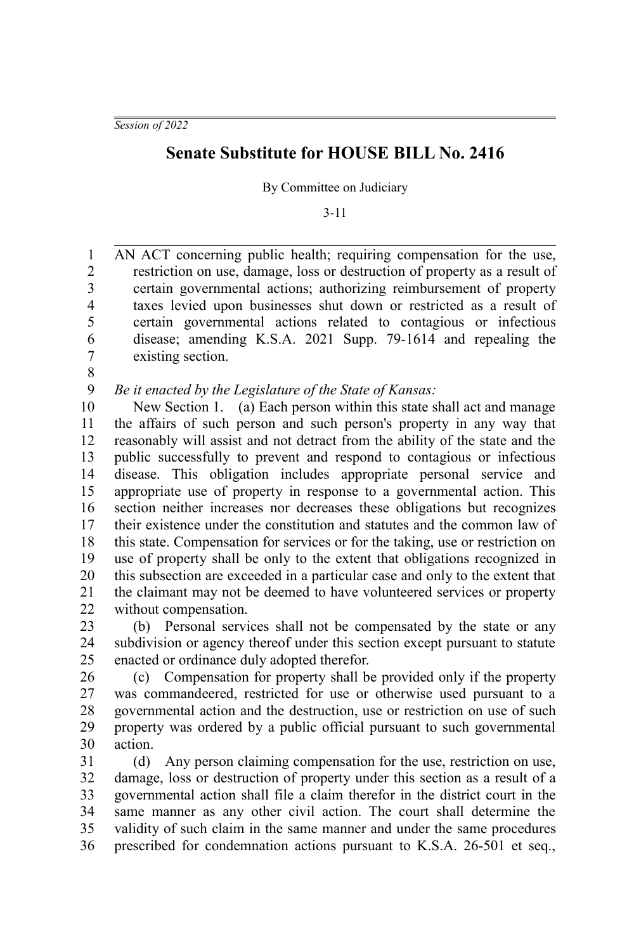## **Senate Substitute for HOUSE BILL No. 2416**

By Committee on Judiciary

3-11

AN ACT concerning public health; requiring compensation for the use, restriction on use, damage, loss or destruction of property as a result of certain governmental actions; authorizing reimbursement of property taxes levied upon businesses shut down or restricted as a result of certain governmental actions related to contagious or infectious disease; amending K.S.A. 2021 Supp. 79-1614 and repealing the existing section. 1 2 3 4 5 6 7

8

*Be it enacted by the Legislature of the State of Kansas:* 9

New Section 1. (a) Each person within this state shall act and manage the affairs of such person and such person's property in any way that reasonably will assist and not detract from the ability of the state and the public successfully to prevent and respond to contagious or infectious disease. This obligation includes appropriate personal service and appropriate use of property in response to a governmental action. This section neither increases nor decreases these obligations but recognizes their existence under the constitution and statutes and the common law of this state. Compensation for services or for the taking, use or restriction on use of property shall be only to the extent that obligations recognized in this subsection are exceeded in a particular case and only to the extent that the claimant may not be deemed to have volunteered services or property without compensation. 10 11 12 13 14 15 16 17 18 19 20 21 22

(b) Personal services shall not be compensated by the state or any subdivision or agency thereof under this section except pursuant to statute enacted or ordinance duly adopted therefor. 23 24 25

(c) Compensation for property shall be provided only if the property was commandeered, restricted for use or otherwise used pursuant to a governmental action and the destruction, use or restriction on use of such property was ordered by a public official pursuant to such governmental action. 26 27 28 29 30

(d) Any person claiming compensation for the use, restriction on use, damage, loss or destruction of property under this section as a result of a governmental action shall file a claim therefor in the district court in the same manner as any other civil action. The court shall determine the validity of such claim in the same manner and under the same procedures prescribed for condemnation actions pursuant to K.S.A. 26-501 et seq., 31 32 33 34 35 36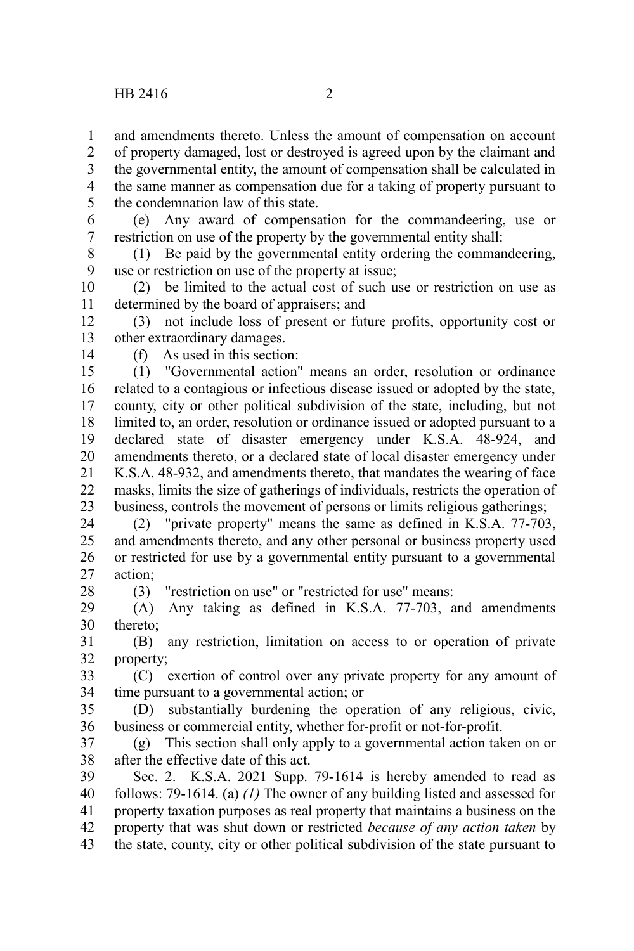and amendments thereto. Unless the amount of compensation on account of property damaged, lost or destroyed is agreed upon by the claimant and

the governmental entity, the amount of compensation shall be calculated in the same manner as compensation due for a taking of property pursuant to the condemnation law of this state. 3 4 5

(e) Any award of compensation for the commandeering, use or restriction on use of the property by the governmental entity shall: 6 7

(1) Be paid by the governmental entity ordering the commandeering, use or restriction on use of the property at issue; 8 9

(2) be limited to the actual cost of such use or restriction on use as determined by the board of appraisers; and 10 11

(3) not include loss of present or future profits, opportunity cost or other extraordinary damages. 12 13

14

28

1 2

(f) As used in this section:

(1) "Governmental action" means an order, resolution or ordinance related to a contagious or infectious disease issued or adopted by the state, county, city or other political subdivision of the state, including, but not limited to, an order, resolution or ordinance issued or adopted pursuant to a declared state of disaster emergency under K.S.A. 48-924, and amendments thereto, or a declared state of local disaster emergency under K.S.A. 48-932, and amendments thereto, that mandates the wearing of face masks, limits the size of gatherings of individuals, restricts the operation of business, controls the movement of persons or limits religious gatherings; 15 16 17 18 19 20 21 22 23

(2) "private property" means the same as defined in K.S.A. 77-703, and amendments thereto, and any other personal or business property used or restricted for use by a governmental entity pursuant to a governmental action; 24 25 26 27

(3) "restriction on use" or "restricted for use" means:

(A) Any taking as defined in K.S.A. 77-703, and amendments thereto; 29 30

(B) any restriction, limitation on access to or operation of private property; 31 32

(C) exertion of control over any private property for any amount of time pursuant to a governmental action; or 33 34

(D) substantially burdening the operation of any religious, civic, business or commercial entity, whether for-profit or not-for-profit. 35 36

(g) This section shall only apply to a governmental action taken on or after the effective date of this act. 37 38

Sec. 2. K.S.A. 2021 Supp. 79-1614 is hereby amended to read as follows: 79-1614. (a) *(1)* The owner of any building listed and assessed for property taxation purposes as real property that maintains a business on the property that was shut down or restricted *because of any action taken* by the state, county, city or other political subdivision of the state pursuant to 39 40 41 42 43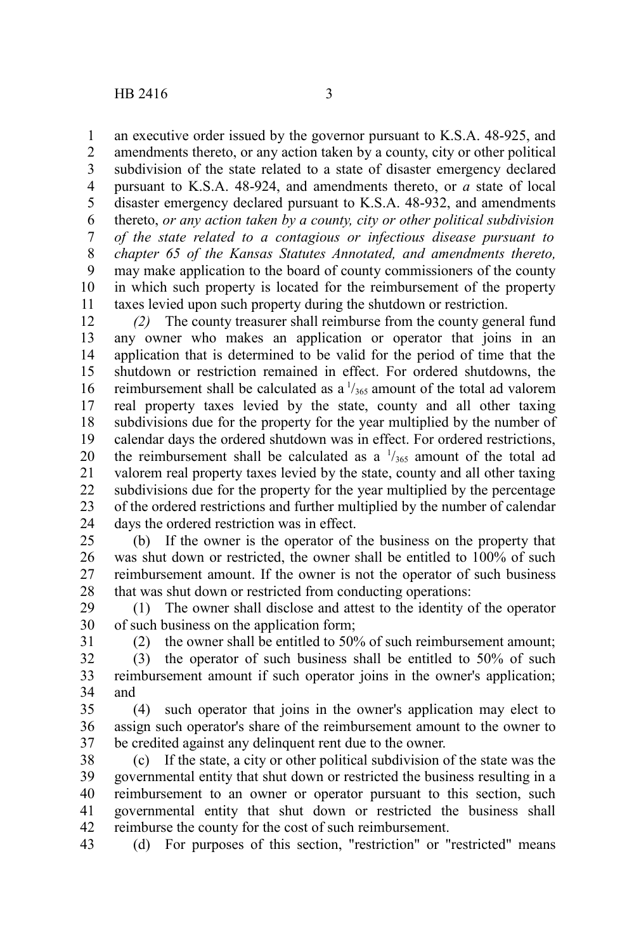an executive order issued by the governor pursuant to K.S.A. 48-925, and amendments thereto, or any action taken by a county, city or other political subdivision of the state related to a state of disaster emergency declared pursuant to K.S.A. 48-924, and amendments thereto, or *a* state of local disaster emergency declared pursuant to K.S.A. 48-932, and amendments thereto, *or any action taken by a county, city or other political subdivision of the state related to a contagious or infectious disease pursuant to chapter 65 of the Kansas Statutes Annotated, and amendments thereto,* may make application to the board of county commissioners of the county in which such property is located for the reimbursement of the property taxes levied upon such property during the shutdown or restriction. 1 2 3 4 5 6 7 8 9 10 11

*(2)* The county treasurer shall reimburse from the county general fund any owner who makes an application or operator that joins in an application that is determined to be valid for the period of time that the shutdown or restriction remained in effect. For ordered shutdowns, the reimbursement shall be calculated as a  $\frac{1}{365}$  amount of the total ad valorem real property taxes levied by the state, county and all other taxing subdivisions due for the property for the year multiplied by the number of calendar days the ordered shutdown was in effect. For ordered restrictions, the reimbursement shall be calculated as a  $\frac{1}{365}$  amount of the total ad valorem real property taxes levied by the state, county and all other taxing subdivisions due for the property for the year multiplied by the percentage of the ordered restrictions and further multiplied by the number of calendar days the ordered restriction was in effect. 12 13 14 15 16 17 18 19 20 21 22 23 24

(b) If the owner is the operator of the business on the property that was shut down or restricted, the owner shall be entitled to 100% of such reimbursement amount. If the owner is not the operator of such business that was shut down or restricted from conducting operations: 25 26 27 28

(1) The owner shall disclose and attest to the identity of the operator of such business on the application form; 29 30 31

(2) the owner shall be entitled to 50% of such reimbursement amount;

(3) the operator of such business shall be entitled to 50% of such reimbursement amount if such operator joins in the owner's application; and 32 33 34

(4) such operator that joins in the owner's application may elect to assign such operator's share of the reimbursement amount to the owner to be credited against any delinquent rent due to the owner. 35 36 37

(c) If the state, a city or other political subdivision of the state was the governmental entity that shut down or restricted the business resulting in a reimbursement to an owner or operator pursuant to this section, such governmental entity that shut down or restricted the business shall reimburse the county for the cost of such reimbursement. 38 39 40 41 42

(d) For purposes of this section, "restriction" or "restricted" means 43